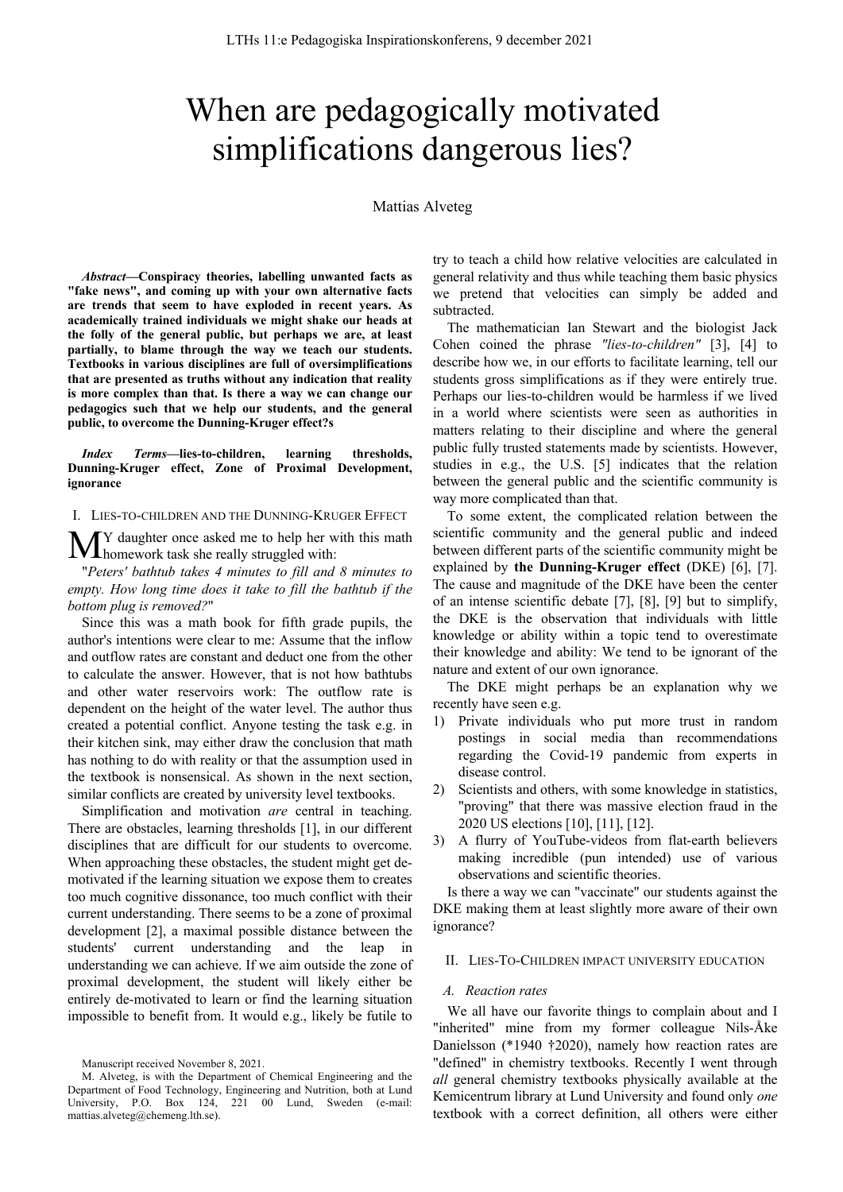# When are pedagogically motivated simplifications dangerous lies?

Mattias Alveteg

*Abstract***—Conspiracy theories, labelling unwanted facts as "fake news", and coming up with your own alternative facts are trends that seem to have exploded in recent years. As academically trained individuals we might shake our heads at the folly of the general public, but perhaps we are, at least partially, to blame through the way we teach our students. Textbooks in various disciplines are full of oversimplifications that are presented as truths without any indication that reality is more complex than that. Is there a way we can change our pedagogics such that we help our students, and the general public, to overcome the Dunning-Kruger effect?s**

*Index Terms***—lies-to-children, learning thresholds, Dunning-Kruger effect, Zone of Proximal Development, ignorance**

I. LIES-TO-CHILDREN AND THE DUNNING-KRUGER EFFECT

Y daughter once asked me to help her with this math  $\mathbf{M}^{\text{Y}}$  daughter once asked me to help her w<br>homework task she really struggled with:

"*Peters' bathtub takes 4 minutes to fill and 8 minutes to empty. How long time does it take to fill the bathtub if the bottom plug is removed?*"

Since this was a math book for fifth grade pupils, the author's intentions were clear to me: Assume that the inflow and outflow rates are constant and deduct one from the other to calculate the answer. However, that is not how bathtubs and other water reservoirs work: The outflow rate is dependent on the height of the water level. The author thus created a potential conflict. Anyone testing the task e.g. in their kitchen sink, may either draw the conclusion that math has nothing to do with reality or that the assumption used in the textbook is nonsensical. As shown in the next section, similar conflicts are created by university level textbooks.

Simplification and motivation *are* central in teaching. There are obstacles, learning thresholds [1], in our different disciplines that are difficult for our students to overcome. When approaching these obstacles, the student might get demotivated if the learning situation we expose them to creates too much cognitive dissonance, too much conflict with their current understanding. There seems to be a zone of proximal development [2], a maximal possible distance between the students' current understanding and the leap in understanding we can achieve. If we aim outside the zone of proximal development, the student will likely either be entirely de-motivated to learn or find the learning situation impossible to benefit from. It would e.g., likely be futile to

try to teach a child how relative velocities are calculated in general relativity and thus while teaching them basic physics we pretend that velocities can simply be added and subtracted.

The mathematician Ian Stewart and the biologist Jack Cohen coined the phrase *"lies-to-children"* [3], [4] to describe how we, in our efforts to facilitate learning, tell our students gross simplifications as if they were entirely true. Perhaps our lies-to-children would be harmless if we lived in a world where scientists were seen as authorities in matters relating to their discipline and where the general public fully trusted statements made by scientists. However, studies in e.g., the U.S. [5] indicates that the relation between the general public and the scientific community is way more complicated than that.

To some extent, the complicated relation between the scientific community and the general public and indeed between different parts of the scientific community might be explained by **the Dunning-Kruger effect** (DKE) [6], [7]. The cause and magnitude of the DKE have been the center of an intense scientific debate [7], [8], [9] but to simplify, the DKE is the observation that individuals with little knowledge or ability within a topic tend to overestimate their knowledge and ability: We tend to be ignorant of the nature and extent of our own ignorance.

The DKE might perhaps be an explanation why we recently have seen e.g.

- 1) Private individuals who put more trust in random postings in social media than recommendations regarding the Covid-19 pandemic from experts in disease control.
- 2) Scientists and others, with some knowledge in statistics, "proving" that there was massive election fraud in the 2020 US elections [10], [11], [12].
- 3) A flurry of YouTube-videos from flat-earth believers making incredible (pun intended) use of various observations and scientific theories.

Is there a way we can "vaccinate" our students against the DKE making them at least slightly more aware of their own ignorance?

### II. LIES-TO-CHILDREN IMPACT UNIVERSITY EDUCATION

#### *A. Reaction rates*

We all have our favorite things to complain about and I "inherited" mine from my former colleague Nils-Åke Danielsson (\*1940 †2020), namely how reaction rates are "defined" in chemistry textbooks. Recently I went through *all* general chemistry textbooks physically available at the Kemicentrum library at Lund University and found only *one* textbook with a correct definition, all others were either

Manuscript received November 8, 2021.

M. Alveteg, is with the Department of Chemical Engineering and the Department of Food Technology, Engineering and Nutrition, both at Lund University, P.O. Box 124, 221 00 Lund, Sweden (e-mail: mattias.alveteg@chemeng.lth.se).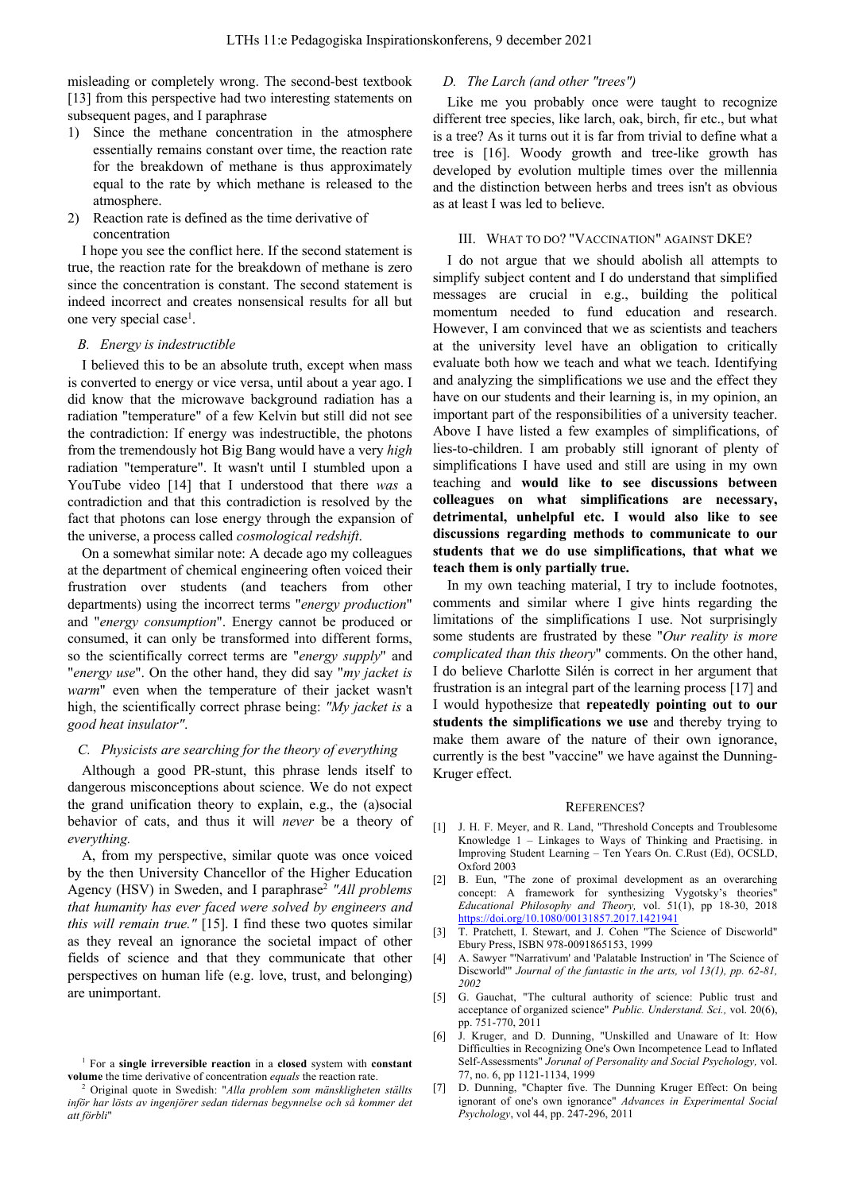misleading or completely wrong. The second-best textbook [13] from this perspective had two interesting statements on subsequent pages, and I paraphrase

- 1) Since the methane concentration in the atmosphere essentially remains constant over time, the reaction rate for the breakdown of methane is thus approximately equal to the rate by which methane is released to the atmosphere.
- 2) Reaction rate is defined as the time derivative of concentration

I hope you see the conflict here. If the second statement is true, the reaction rate for the breakdown of methane is zero since the concentration is constant. The second statement is indeed incorrect and creates nonsensical results for all but one very special case<sup>1</sup>.

## *B. Energy is indestructible*

I believed this to be an absolute truth, except when mass is converted to energy or vice versa, until about a year ago. I did know that the microwave background radiation has a radiation "temperature" of a few Kelvin but still did not see the contradiction: If energy was indestructible, the photons from the tremendously hot Big Bang would have a very *high* radiation "temperature". It wasn't until I stumbled upon a YouTube video [14] that I understood that there *was* a contradiction and that this contradiction is resolved by the fact that photons can lose energy through the expansion of the universe, a process called *cosmological redshift*.

On a somewhat similar note: A decade ago my colleagues at the department of chemical engineering often voiced their frustration over students (and teachers from other departments) using the incorrect terms "*energy production*" and "*energy consumption*". Energy cannot be produced or consumed, it can only be transformed into different forms, so the scientifically correct terms are "*energy supply*" and "*energy use*". On the other hand, they did say "*my jacket is warm*" even when the temperature of their jacket wasn't high, the scientifically correct phrase being: *"My jacket is* a *good heat insulator"*.

## *C. Physicists are searching for the theory of everything*

Although a good PR-stunt, this phrase lends itself to dangerous misconceptions about science. We do not expect the grand unification theory to explain, e.g., the (a)social behavior of cats, and thus it will *never* be a theory of *everything.*

A, from my perspective, similar quote was once voiced by the then University Chancellor of the Higher Education Agency (HSV) in Sweden, and I paraphrase2 *"All problems that humanity has ever faced were solved by engineers and this will remain true."* [15]. I find these two quotes similar as they reveal an ignorance the societal impact of other fields of science and that they communicate that other perspectives on human life (e.g. love, trust, and belonging) are unimportant.

# *D. The Larch (and other "trees")*

Like me you probably once were taught to recognize different tree species, like larch, oak, birch, fir etc., but what is a tree? As it turns out it is far from trivial to define what a tree is [16]. Woody growth and tree-like growth has developed by evolution multiple times over the millennia and the distinction between herbs and trees isn't as obvious as at least I was led to believe.

## III. WHAT TO DO? "VACCINATION" AGAINST DKE?

I do not argue that we should abolish all attempts to simplify subject content and I do understand that simplified messages are crucial in e.g., building the political momentum needed to fund education and research. However, I am convinced that we as scientists and teachers at the university level have an obligation to critically evaluate both how we teach and what we teach. Identifying and analyzing the simplifications we use and the effect they have on our students and their learning is, in my opinion, an important part of the responsibilities of a university teacher. Above I have listed a few examples of simplifications, of lies-to-children. I am probably still ignorant of plenty of simplifications I have used and still are using in my own teaching and **would like to see discussions between colleagues on what simplifications are necessary, detrimental, unhelpful etc. I would also like to see discussions regarding methods to communicate to our students that we do use simplifications, that what we teach them is only partially true.**

In my own teaching material, I try to include footnotes, comments and similar where I give hints regarding the limitations of the simplifications I use. Not surprisingly some students are frustrated by these "*Our reality is more complicated than this theory*" comments. On the other hand, I do believe Charlotte Silén is correct in her argument that frustration is an integral part of the learning process [17] and I would hypothesize that **repeatedly pointing out to our students the simplifications we use** and thereby trying to make them aware of the nature of their own ignorance, currently is the best "vaccine" we have against the Dunning-Kruger effect.

#### REFERENCES?

- [1] J. H. F. Meyer, and R. Land, "Threshold Concepts and Troublesome Knowledge 1 – Linkages to Ways of Thinking and Practising. in Improving Student Learning – Ten Years On. C.Rust (Ed), OCSLD, Oxford 2003
- [2] B. Eun, "The zone of proximal development as an overarching concept: A framework for synthesizing Vygotsky's theories" *Educational Philosophy and Theory,* vol. 51(1), pp 18-30, 2018 https://doi.org/10.1080/00131857.2017.1421941
- [3] T. Pratchett, I. Stewart, and J. Cohen "The Science of Discworld" Ebury Press, ISBN 978-0091865153, 1999
- [4] A. Sawyer "'Narrativum' and 'Palatable Instruction' in 'The Science of Discworld'" *Journal of the fantastic in the arts, vol 13(1), pp. 62-81, 2002*
- [5] G. Gauchat, "The cultural authority of science: Public trust and acceptance of organized science" *Public. Understand. Sci.,* vol. 20(6), pp. 751-770, 2011
- [6] J. Kruger, and D. Dunning, "Unskilled and Unaware of It: How Difficulties in Recognizing One's Own Incompetence Lead to Inflated Self-Assessments" *Jorunal of Personality and Social Psychology,* vol. 77, no. 6, pp 1121-1134, 1999
- [7] D. Dunning, "Chapter five. The Dunning Kruger Effect: On being ignorant of one's own ignorance" *Advances in Experimental Social Psychology*, vol 44, pp. 247-296, 2011

<sup>1</sup> For a **single irreversible reaction** in a **closed** system with **constant volume** the time derivative of concentration *equals* the reaction rate.

<sup>2</sup> Original quote in Swedish: "*Alla problem som mänskligheten ställts inför har lösts av ingenjörer sedan tidernas begynnelse och så kommer det att förbli*"